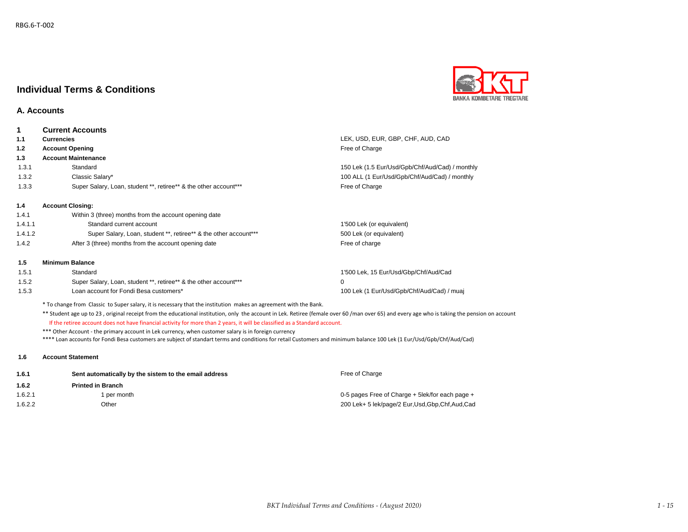

### **A. Accounts**

| 1       | <b>Current Accounts</b>                                          |                                                 |
|---------|------------------------------------------------------------------|-------------------------------------------------|
| 1.1     | <b>Currencies</b>                                                | LEK, USD, EUR, GBP, CHF, AUD, CAD               |
| 1.2     | <b>Account Opening</b>                                           | Free of Charge                                  |
| 1.3     | <b>Account Maintenance</b>                                       |                                                 |
| 1.3.1   | Standard                                                         | 150 Lek (1.5 Eur/Usd/Gpb/Chf/Aud/Cad) / monthly |
| 1.3.2   | Classic Salary*                                                  | 100 ALL (1 Eur/Usd/Gpb/Chf/Aud/Cad) / monthly   |
| 1.3.3   | Super Salary, Loan, student **, retiree** & the other account*** | Free of Charge                                  |
| 1.4     | <b>Account Closing:</b>                                          |                                                 |
| 1.4.1   | Within 3 (three) months from the account opening date            |                                                 |
| 1.4.1.1 | Standard current account                                         | 1'500 Lek (or equivalent)                       |
| 1.4.1.2 | Super Salary, Loan, student **, retiree** & the other account*** | 500 Lek (or equivalent)                         |
| 1.4.2   | After 3 (three) months from the account opening date             | Free of charge                                  |
| 1.5     | <b>Minimum Balance</b>                                           |                                                 |
| 1.5.1   | Standard                                                         | 1'500 Lek, 15 Eur/Usd/Gbp/Chf/Aud/Cad           |
| 1.5.2   | Super Salary, Loan, student **, retiree** & the other account*** | 0                                               |
| 1.5.3   | Loan account for Fondi Besa customers*                           | 100 Lek (1 Eur/Usd/Gpb/Chf/Aud/Cad) / muaj      |

\* To change from Classic to Super salary, it is necessary that the institution makes an agreement with the Bank.

\*\* Student age up to 23, original receipt from the educational institution, only the account in Lek. Retiree (female over 60 /man over 65) and every age who is taking the pension on account

If the retiree account does not have financial activity for more than 2 years, it will be classified as a Standard account.

\*\*\* Other Account - the primary account in Lek currency, when customer salary is in foreign currency \*\*\*\* Loan accounts for Fondi Besa customers are subject of standart terms and conditions for retail Customers and minimum balance 100 Lek (1 Eur/Usd/Gpb/Chf/Aud/Cad)

#### **1.6 Account Statement**

| 1.6.1   | Sent automatically by the sistem to the email address | Free of Charge                                      |
|---------|-------------------------------------------------------|-----------------------------------------------------|
| 1.6.2   | <b>Printed in Branch</b>                              |                                                     |
| 1.6.2.1 | l per month                                           | 0-5 pages Free of Charge $+$ 5lek/for each page $+$ |
| 1.6.2.2 | Other                                                 | 200 Lek+ 5 lek/page/2 Eur, Usd, Gbp, Chf, Aud, Cad  |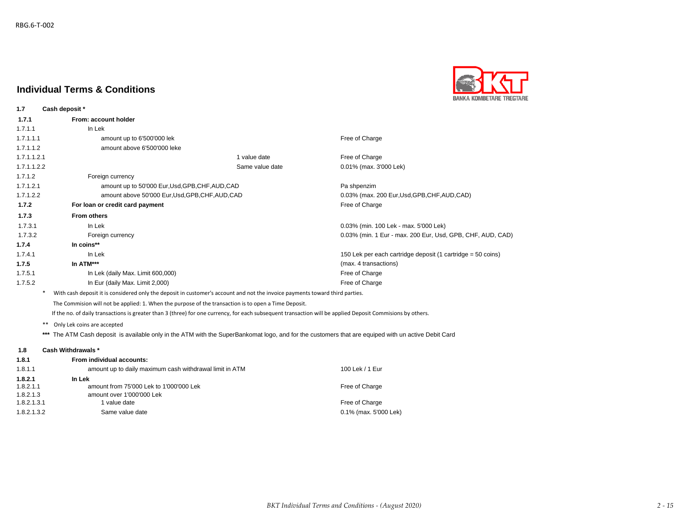**1.7 Cash deposit \***

# **Individual Terms & Conditions**



| From: account holder              |                 |                                                                                                      |
|-----------------------------------|-----------------|------------------------------------------------------------------------------------------------------|
| In Lek                            |                 |                                                                                                      |
| amount up to 6'500'000 lek        |                 | Free of Charge                                                                                       |
| amount above 6'500'000 leke       |                 |                                                                                                      |
|                                   | 1 value date    | Free of Charge                                                                                       |
|                                   | Same value date | 0.01% (max. 3'000 Lek)                                                                               |
| Foreign currency                  |                 |                                                                                                      |
|                                   |                 | Pa shpenzim                                                                                          |
|                                   |                 | 0.03% (max. 200 Eur, Usd, GPB, CHF, AUD, CAD)                                                        |
| For loan or credit card payment   |                 | Free of Charge                                                                                       |
| <b>From others</b>                |                 |                                                                                                      |
| In Lek                            |                 | 0.03% (min. 100 Lek - max. 5'000 Lek)                                                                |
| Foreign currency                  |                 | 0.03% (min. 1 Eur - max. 200 Eur, Usd, GPB, CHF, AUD, CAD)                                           |
| In coins**                        |                 |                                                                                                      |
| In Lek                            |                 | 150 Lek per each cartridge deposit (1 cartridge = 50 coins)                                          |
| In ATM***                         |                 | (max. 4 transactions)                                                                                |
| In Lek (daily Max. Limit 600,000) |                 | Free of Charge                                                                                       |
| In Eur (daily Max. Limit 2,000)   |                 | Free of Charge                                                                                       |
|                                   |                 | amount up to 50'000 Eur, Usd, GPB, CHF, AUD, CAD<br>amount above 50'000 Eur, Usd, GPB, CHF, AUD, CAD |

\* With cash deposit it is considered only the deposit in customer's account and not the invoice payments toward third parties.

The Commision will not be applied: 1. When the purpose of the transaction is to open a Time Deposit.

If the no. of daily transactions is greater than 3 (three) for one currency, for each subsequent transaction will be applied Deposit Commisions by others.

\*\* Only Lek coins are accepted

**\*\*\*** The ATM Cash deposit is available only in the ATM with the SuperBankomat logo, and for the customers that are equiped with un active Debit Card

#### **1.8 Cash Withdrawals \***

| From individual accounts:                               |                       |
|---------------------------------------------------------|-----------------------|
| amount up to daily maximum cash withdrawal limit in ATM | 100 Lek / 1 Eur       |
| In Lek                                                  |                       |
| amount from 75'000 Lek to 1'000'000 Lek                 | Free of Charge        |
| amount over 1'000'000 Lek                               |                       |
| 1 value date                                            | Free of Charge        |
| Same value date                                         | 0.1% (max. 5'000 Lek) |
|                                                         |                       |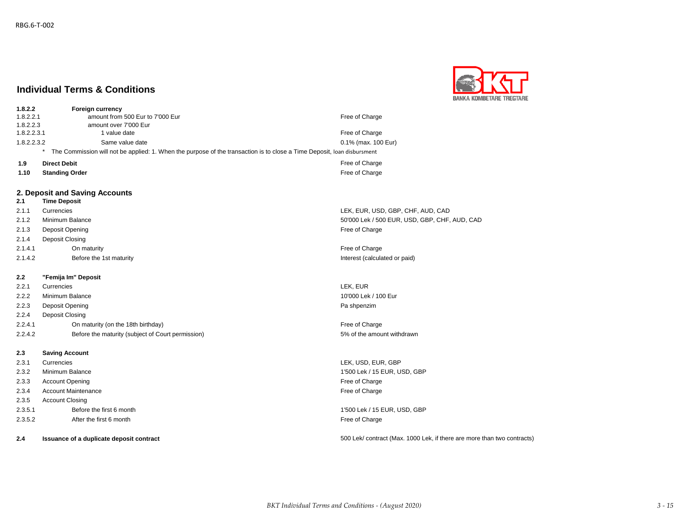

| 1.8.2.2     | <b>Foreign currency</b>                                                                                                 |                     |
|-------------|-------------------------------------------------------------------------------------------------------------------------|---------------------|
| 1.8.2.2.1   | amount from 500 Eur to 7'000 Eur                                                                                        | Free of Charge      |
| 1.8.2.2.3   | amount over 7'000 Eur                                                                                                   |                     |
| 1.8.2.2.3.1 | I value date                                                                                                            | Free of Charge      |
| 1.8.2.2.3.2 | Same value date                                                                                                         | 0.1% (max. 100 Eur) |
|             | The Commission will not be applied: 1. When the purpose of the transaction is to close a Time Deposit, Ioan disbursment |                     |
| 1.9         | <b>Direct Debit</b>                                                                                                     | Free of Charge      |
| 1.10        | <b>Standing Order</b>                                                                                                   | Free of Charge      |

#### **2. Deposit and Saving Accounts**

### **2.1 Time Deposit** 2.1.1 Currencies LEK, EUR, USD, GBP, CHF, AUD, CAD 2.1.2 Minimum Balance 50'000 Lek / 500 EUR, USD, GBP, CHF, AUD, CAD 2.1.3 Deposit Opening **Free** of Charge **Free** of Charge **Free** of Charge **Free** of Charge **Free** of Charge **Free** of Charge 2.1.4 Deposit Closing 2.1.4.1 On maturity **Container Container Container Container Container Container Container Container Container** Free of Charge 2.1.4.2 Before the 1st maturity Interest (calculated or paid) Before the 1st maturity **2.2 "Femija Im" Deposit**

2.2.1 Currencies LEK, EUR 2.2.2 Minimum Balance 2002 10'000 Lek / 100 Eur 2.2.3 Deposit Opening Pa shpenzim Pa shpenzim Pa shpenzim 2.2.4 Deposit Closing 2.2.4.1 On maturity (on the 18th birthday) **Free of Charge Structure 18th birthday Free of Charge** 2.2.4.2 Before the maturity (subject of Court permission) 5% of the amount withdrawn

- **2.3 Saving Account**
- 
- 
- 2.3.3 Account Opening **Free of Charge** Free of Charge **Free of Charge**
- 2.3.4 Account Maintenance Free of Charge
- 2.3.5 Account Closing
- 2.3.5.1 Before the first 6 month 1'500 Lek / 15 EUR, USD, GBP
- 2.3.5.2 After the first 6 month **After the first 6 month** Free of Charge **Free of Charge**
- 

2.3.1 Currencies LEK, USD, EUR, GBP 2.3.2 Minimum Balance 1'500 Lek / 15 EUR, USD, GBP

**2.4 Issuance of a duplicate deposit contract** 500 Lek/ contract (Max. 1000 Lek, if there are more than two contracts)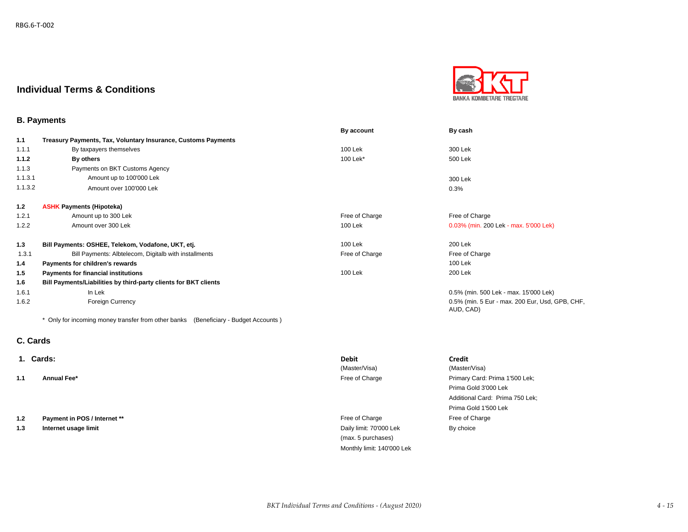

### **B. Payments**

|         |                                                                  | By account     | By cash                                                      |
|---------|------------------------------------------------------------------|----------------|--------------------------------------------------------------|
| 1.1     | Treasury Payments, Tax, Voluntary Insurance, Customs Payments    |                |                                                              |
| 1.1.1   | By taxpayers themselves                                          | 100 Lek        | 300 Lek                                                      |
| 1.1.2   | By others                                                        | 100 Lek*       | 500 Lek                                                      |
| 1.1.3   | Payments on BKT Customs Agency                                   |                |                                                              |
| 1.1.3.1 | Amount up to 100'000 Lek                                         |                | 300 Lek                                                      |
| 1.1.3.2 | Amount over 100'000 Lek                                          |                | 0.3%                                                         |
| 1.2     | <b>ASHK Payments (Hipoteka)</b>                                  |                |                                                              |
| 1.2.1   | Amount up to 300 Lek                                             | Free of Charge | Free of Charge                                               |
| 1.2.2   | Amount over 300 Lek                                              | 100 Lek        | 0.03% (min. 200 Lek - max. 5'000 Lek)                        |
| 1.3     | Bill Payments: OSHEE, Telekom, Vodafone, UKT, etj.               | 100 Lek        | 200 Lek                                                      |
| 1.3.1   | Bill Payments: Albtelecom, Digitalb with installments            | Free of Charge | Free of Charge                                               |
| 1.4     | Payments for children's rewards                                  |                | 100 Lek                                                      |
| 1.5     | Payments for financial institutions                              | 100 Lek        | 200 Lek                                                      |
| 1.6     | Bill Payments/Liabilities by third-party clients for BKT clients |                |                                                              |
| 1.6.1   | In Lek                                                           |                | 0.5% (min. 500 Lek - max. 15'000 Lek)                        |
| 1.6.2   | <b>Foreign Currency</b>                                          |                | 0.5% (min. 5 Eur - max. 200 Eur, Usd, GPB, CHF,<br>AUD, CAD) |

\* Only for incoming money transfer from other banks (Beneficiary - Budget Accounts )

## **C. Cards**

|     | 1. Cards:                    | <b>Debit</b>            | <b>Credit</b>                   |
|-----|------------------------------|-------------------------|---------------------------------|
|     |                              | (Master/Visa)           | (Master/Visa)                   |
| 1.1 | Annual Fee*                  | Free of Charge          | Primary Card: Prima 1'500 Lek;  |
|     |                              |                         | Prima Gold 3'000 Lek            |
|     |                              |                         | Additional Card: Prima 750 Lek; |
|     |                              |                         | Prima Gold 1'500 Lek            |
| 1.2 | Payment in POS / Internet ** | Free of Charge          | Free of Charge                  |
| 1.3 | Internet usage limit         | Daily limit: 70'000 Lek | By choice                       |
|     |                              | (max. 5 purchases)      |                                 |

Monthly limit: 140'000 Lek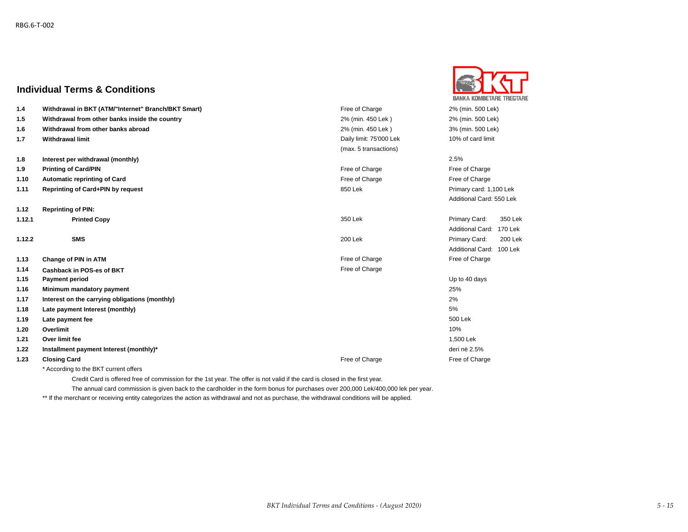

| 1.4    | Withdrawal in BKT (ATM/"Internet" Branch/BKT Smart) | Free of Charge          | 2% (min. 500 Lek)                  |
|--------|-----------------------------------------------------|-------------------------|------------------------------------|
| 1.5    | Withdrawal from other banks inside the country      | 2% (min. 450 Lek)       | 2% (min. 500 Lek)                  |
| 1.6    | Withdrawal from other banks abroad                  | 2% (min. 450 Lek)       | 3% (min. 500 Lek)                  |
| 1.7    | <b>Withdrawal limit</b>                             | Daily limit: 75'000 Lek | 10% of card limit                  |
|        |                                                     | (max. 5 transactions)   |                                    |
| 1.8    | Interest per withdrawal (monthly)                   |                         | 2.5%                               |
| 1.9    | <b>Printing of Card/PIN</b>                         | Free of Charge          | Free of Charge                     |
| 1.10   | <b>Automatic reprinting of Card</b>                 | Free of Charge          | Free of Charge                     |
| 1.11   | Reprinting of Card+PIN by request                   | 850 Lek                 | Primary card: 1,100 Lek            |
|        |                                                     |                         | Additional Card: 550 Lek           |
| 1.12   | <b>Reprinting of PIN:</b>                           |                         |                                    |
| 1.12.1 | <b>Printed Copy</b>                                 | 350 Lek                 | Primary Card:<br>350 Lek           |
|        |                                                     |                         | <b>Additional Card:</b><br>170 Lek |
| 1.12.2 | <b>SMS</b>                                          | 200 Lek                 | Primary Card:<br>200 Lek           |
|        |                                                     |                         | <b>Additional Card:</b><br>100 Lek |
| 1.13   | Change of PIN in ATM                                | Free of Charge          | Free of Charge                     |
| 1.14   | Cashback in POS-es of BKT                           | Free of Charge          |                                    |
| 1.15   | <b>Payment period</b>                               |                         | Up to 40 days                      |
| 1.16   | Minimum mandatory payment                           |                         | 25%                                |
| 1.17   | Interest on the carrying obligations (monthly)      |                         | 2%                                 |
| 1.18   | Late payment Interest (monthly)                     |                         | 5%                                 |
| 1.19   | Late payment fee                                    |                         | 500 Lek                            |
| 1.20   | Overlimit                                           |                         | 10%                                |
| 1.21   | Over limit fee                                      |                         | 1,500 Lek                          |
| 1.22   | Installment payment Interest (monthly)*             |                         | deri në 2.5%                       |
| 1.23   | <b>Closing Card</b>                                 | Free of Charge          | Free of Charge                     |
|        |                                                     |                         |                                    |

According to the BKT current offers

Credit Card is offered free of commission for the 1st year. The offer is not valid if the card is closed in the first year.

The annual card commission is given back to the cardholder in the form bonus for purchases over 200,000 Lek/400,000 lek per year.

\*\* If the merchant or receiving entity categorizes the action as withdrawal and not as purchase, the withdrawal conditions will be applied.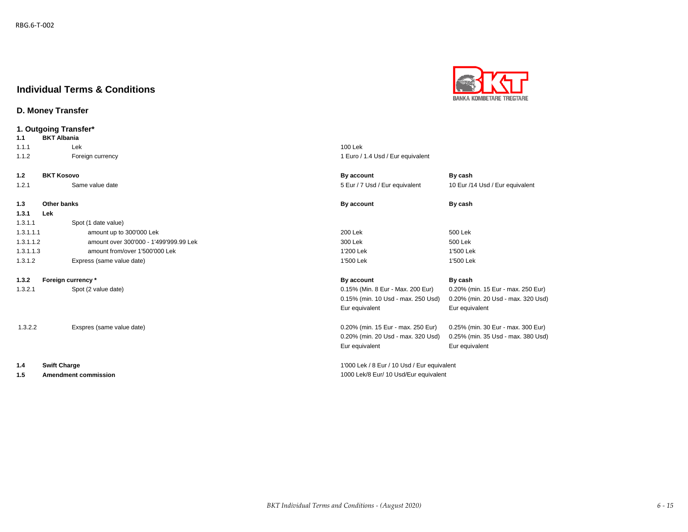### **D. Money Transfer**



**BANKA KOMBETARE TREGTARE**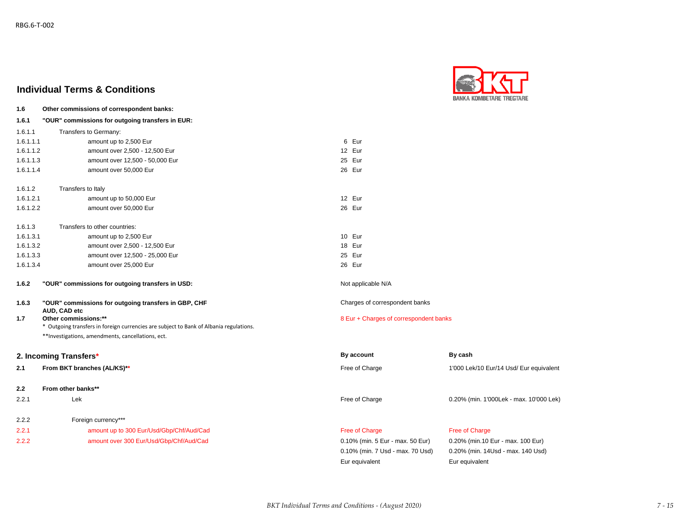

| 1.6       | Other commissions of correspondent banks:                                              |                                        |                                         |
|-----------|----------------------------------------------------------------------------------------|----------------------------------------|-----------------------------------------|
| 1.6.1     | "OUR" commissions for outgoing transfers in EUR:                                       |                                        |                                         |
| 1.6.1.1   | Transfers to Germany:                                                                  |                                        |                                         |
| 1.6.1.1.1 | amount up to 2,500 Eur                                                                 | 6 Eur                                  |                                         |
| 1.6.1.1.2 | amount over 2,500 - 12,500 Eur                                                         | 12 Eur                                 |                                         |
| 1.6.1.1.3 | amount over 12,500 - 50,000 Eur                                                        | 25 Eur                                 |                                         |
| 1.6.1.1.4 | amount over 50,000 Eur                                                                 | 26 Eur                                 |                                         |
| 1.6.1.2   | Transfers to Italy                                                                     |                                        |                                         |
| 1.6.1.2.1 | amount up to 50,000 Eur                                                                | 12 Eur                                 |                                         |
| 1.6.1.2.2 | amount over 50,000 Eur                                                                 | 26 Eur                                 |                                         |
| 1.6.1.3   | Transfers to other countries:                                                          |                                        |                                         |
| 1.6.1.3.1 | amount up to 2,500 Eur                                                                 | 10 Eur                                 |                                         |
| 1.6.1.3.2 | amount over 2,500 - 12,500 Eur                                                         | 18 Eur                                 |                                         |
| 1.6.1.3.3 | amount over 12,500 - 25,000 Eur                                                        | 25 Eur                                 |                                         |
| 1.6.1.3.4 | amount over 25,000 Eur                                                                 | 26 Eur                                 |                                         |
| 1.6.2     | "OUR" commissions for outgoing transfers in USD:                                       | Not applicable N/A                     |                                         |
| 1.6.3     | "OUR" commissions for outgoing transfers in GBP, CHF                                   | Charges of correspondent banks         |                                         |
| 1.7       | AUD, CAD etc<br>Other commissions:**                                                   | 8 Eur + Charges of correspondent banks |                                         |
|           | * Outgoing transfers in foreign currencies are subject to Bank of Albania regulations. |                                        |                                         |
|           | **Investigations, amendments, cancellations, ect.                                      |                                        |                                         |
|           | 2. Incoming Transfers*                                                                 | By account                             | By cash                                 |
| 2.1       | From BKT branches (AL/KS)**                                                            | Free of Charge                         | 1'000 Lek/10 Eur/14 Usd/ Eur equivalent |
| 2.2       | From other banks**                                                                     |                                        |                                         |
| 2.2.1     | Lek                                                                                    | Free of Charge                         | 0.20% (min. 1'000Lek - max. 10'000 Lek) |
|           |                                                                                        |                                        |                                         |
| 2.2.2     | Foreign currency***                                                                    |                                        |                                         |
| 2.2.1     | amount up to 300 Eur/Usd/Gbp/Chf/Aud/Cad                                               | Free of Charge                         | Free of Charge                          |
| 2.2.2     | amount over 300 Eur/Usd/Gbp/Chf/Aud/Cad                                                | 0.10% (min. 5 Eur - max. 50 Eur)       | 0.20% (min.10 Eur - max. 100 Eur)       |
|           |                                                                                        | 0.10% (min. 7 Usd - max. 70 Usd)       | 0.20% (min. 14Usd - max. 140 Usd)       |

Eur equivalent Eur equivalent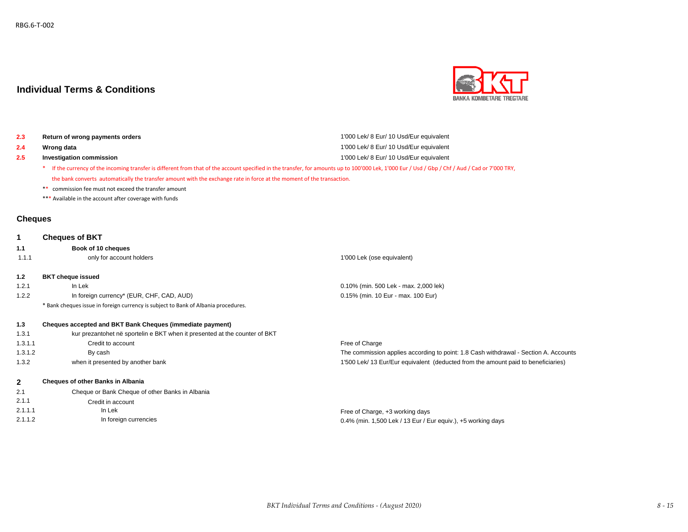

| Return of wrong payments orders                                                                                                                                                                  | 1'000 Lek/ 8 Eur/ 10 Usd/Eur equivalent |
|--------------------------------------------------------------------------------------------------------------------------------------------------------------------------------------------------|-----------------------------------------|
| Wrong data                                                                                                                                                                                       | 1'000 Lek/ 8 Eur/ 10 Usd/Eur equivalent |
| Investigation commission                                                                                                                                                                         | 1'000 Lek/ 8 Eur/ 10 Usd/Eur equivalent |
| * If the currency of the incoming transfer is different from that of the account specified in the transfer, for amounts up to 100'000 Lek, 1'000 Eur / Usd / Gbp / Chf / Aud / Cad or 7'000 TRY, |                                         |

the bank converts automatically the transfer amount with the exchange rate in force at the moment of the transaction.

\*\* commission fee must not exceed the transfer amount

\*\*\* Available in the account after coverage with funds

### **Cheques**

| 1              | <b>Cheques of BKT</b>                                                              |                                                                                      |
|----------------|------------------------------------------------------------------------------------|--------------------------------------------------------------------------------------|
| 1.1            | Book of 10 cheques                                                                 |                                                                                      |
| 1.1.1          | only for account holders                                                           | 1'000 Lek (ose equivalent)                                                           |
| 1.2            | <b>BKT</b> cheque issued                                                           |                                                                                      |
| 1.2.1          | In Lek                                                                             | 0.10% (min. 500 Lek - max. 2,000 lek)                                                |
| 1.2.2          | In foreign currency* (EUR, CHF, CAD, AUD)                                          | 0.15% (min. 10 Eur - max. 100 Eur)                                                   |
|                | * Bank cheques issue in foreign currency is subject to Bank of Albania procedures. |                                                                                      |
| 1.3            | Cheques accepted and BKT Bank Cheques (immediate payment)                          |                                                                                      |
| 1.3.1          | kur prezantohet në sportelin e BKT when it presented at the counter of BKT         |                                                                                      |
| 1.3.1.1        | Credit to account                                                                  | Free of Charge                                                                       |
| 1.3.1.2        | By cash                                                                            | The commission applies according to point: 1.8 Cash withdrawal - Section A. Accounts |
| 1.3.2          | when it presented by another bank                                                  | 1'500 Lek/ 13 Eur/Eur equivalent (deducted from the amount paid to beneficiaries)    |
| $\overline{2}$ | <b>Cheques of other Banks in Albania</b>                                           |                                                                                      |
| 2.1            | Cheque or Bank Cheque of other Banks in Albania                                    |                                                                                      |

| 2.1.1   | Credit in account     |                                                              |
|---------|-----------------------|--------------------------------------------------------------|
| 2.1.1.1 | In Lek                | Free of Charge, +3 working days                              |
| 2.1.1.2 | In foreign currencies | 0.4% (min. 1,500 Lek / 13 Eur / Eur equiv.), +5 working days |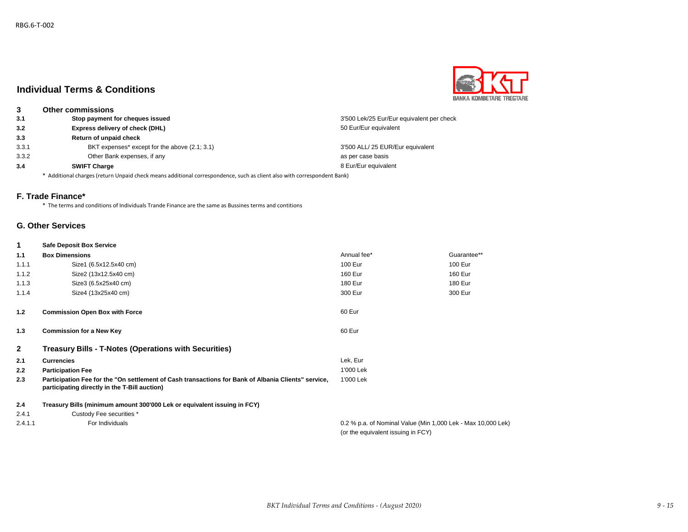

| 3     | <b>Other commissions</b>                                                                                                |                                           |  |
|-------|-------------------------------------------------------------------------------------------------------------------------|-------------------------------------------|--|
| 3.1   | Stop payment for cheques issued                                                                                         | 3'500 Lek/25 Eur/Eur equivalent per check |  |
| 3.2   | Express delivery of check (DHL)                                                                                         | 50 Eur/Eur equivalent                     |  |
| 3.3   | <b>Return of unpaid check</b>                                                                                           |                                           |  |
| 3.3.1 | BKT expenses* except for the above (2.1; 3.1)                                                                           | 3'500 ALL/ 25 EUR/Eur equivalent          |  |
| 3.3.2 | Other Bank expenses, if any                                                                                             | as per case basis                         |  |
| 3.4   | <b>SWIFT Charge</b>                                                                                                     | 8 Eur/Eur equivalent                      |  |
|       | * Additional charges (return Unpaid check means additional correspondence, such as client also with correspondent Bank) |                                           |  |

### **F. Trade Finance\***

\* The terms and conditions of Individuals Trande Finance are the same as Bussines terms and contitions

### **G. Other Services**

## **1 Safe Deposit Box Service**

| 1.1            | <b>Box Dimensions</b>                                                                                                                                | Annual fee*                                                                                        | Guarantee** |
|----------------|------------------------------------------------------------------------------------------------------------------------------------------------------|----------------------------------------------------------------------------------------------------|-------------|
| 1.1.1          | Size1 (6.5x12.5x40 cm)                                                                                                                               | 100 Eur                                                                                            | 100 Eur     |
| 1.1.2          | Size2 (13x12.5x40 cm)                                                                                                                                | 160 Eur                                                                                            | 160 Eur     |
| 1.1.3          | Size3 (6.5x25x40 cm)                                                                                                                                 | 180 Eur                                                                                            | 180 Eur     |
| 1.1.4          | Size4 (13x25x40 cm)                                                                                                                                  | 300 Eur                                                                                            | 300 Eur     |
| 1.2            | <b>Commission Open Box with Force</b>                                                                                                                | 60 Eur                                                                                             |             |
| 1.3            | <b>Commission for a New Key</b>                                                                                                                      | 60 Eur                                                                                             |             |
| $\overline{2}$ | <b>Treasury Bills - T-Notes (Operations with Securities)</b>                                                                                         |                                                                                                    |             |
| 2.1            | <b>Currencies</b>                                                                                                                                    | Lek, Eur                                                                                           |             |
| 2.2            | <b>Participation Fee</b>                                                                                                                             | 1'000 Lek                                                                                          |             |
| 2.3            | Participation Fee for the "On settlement of Cash transactions for Bank of Albania Clients" service,<br>participating directly in the T-Bill auction) | 1'000 Lek                                                                                          |             |
| 2.4            | Treasury Bills (minimum amount 300'000 Lek or equivalent issuing in FCY)                                                                             |                                                                                                    |             |
| 2.4.1          | Custody Fee securities *                                                                                                                             |                                                                                                    |             |
| 2.4.1.1        | For Individuals                                                                                                                                      | 0.2 % p.a. of Nominal Value (Min 1,000 Lek - Max 10,000 Lek)<br>(or the equivalent issuing in FCY) |             |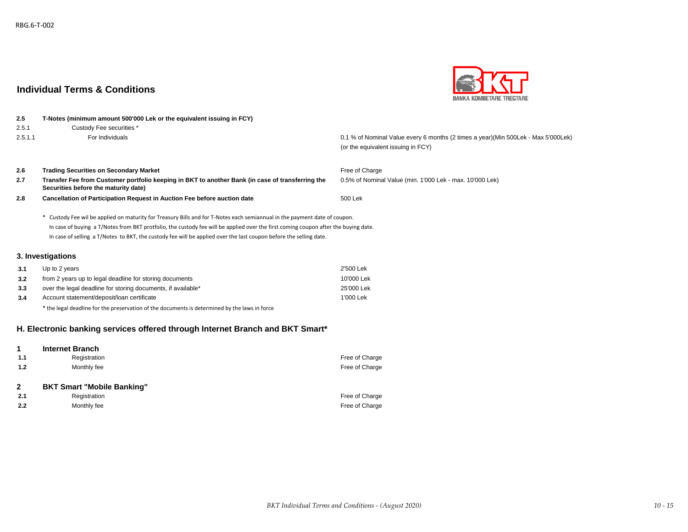

# **2.5 T-Notes (minimum amount 500'000 Lek or the equivalent issuing in FCY)** 2.5.1 Custody Fee securities \* 2.5.1.1 For Individuals 0.1 % of Nominal Value every 6 months (2 times a year)(Min 500Lek - Max 5'000Lek) (or the equivalent issuing in FCY) **2.6 Trading Securities on Secondary Market Free of Charge Securities on Secondary Market Free of Charge Free of Charge** 2.7 Transfer Fee from Customer portfolio keeping in BKT to another Bank (in case of transferring the 0.5% of Nominal Value (min. 1'000 Lek - max. 10'000 Lek) **2.8** 500 Lek **Cancellation of Participation Request in Auction Fee before auction date** \* Custody Fee wil be applied on maturity for Treasury Bills and for T-Notes each semiannual in the payment date of coupon. **3. Investigations 3.1** Up to 2 years 2'500 Lek **3.2** from 2 years up to legal deadline for storing documents 10'000 Lek **Securities before the maturity date)** In case of buying a T/Notes from BKT protfolio, the custody fee will be applied over the first coming coupon after the buying date. In case of selling a T/Notes to BKT, the custody fee will be applied over the last coupon before the selling date.

| ---  | monthle yours up to logal abadility for storing about notice | .          |
|------|--------------------------------------------------------------|------------|
| 3.3  | over the legal deadline for storing documents, if available* | 25'000 Lek |
| -3.4 | Account statement/deposit/loan certificate                   | 1'000 Lek  |
|      |                                                              |            |

\* the legal deadline for the preservation of the documents is determined by the laws in force

### **H. Electronic banking services offered through Internet Branch and BKT Smart\***

|              | <b>Internet Branch</b>            |                |
|--------------|-----------------------------------|----------------|
| 1.1          | Registration                      | Free of Charge |
| 1.2          | Monthly fee                       | Free of Charge |
|              |                                   |                |
|              |                                   |                |
| $\mathbf{2}$ | <b>BKT Smart "Mobile Banking"</b> |                |
| 2.1          | Registration                      | Free of Charge |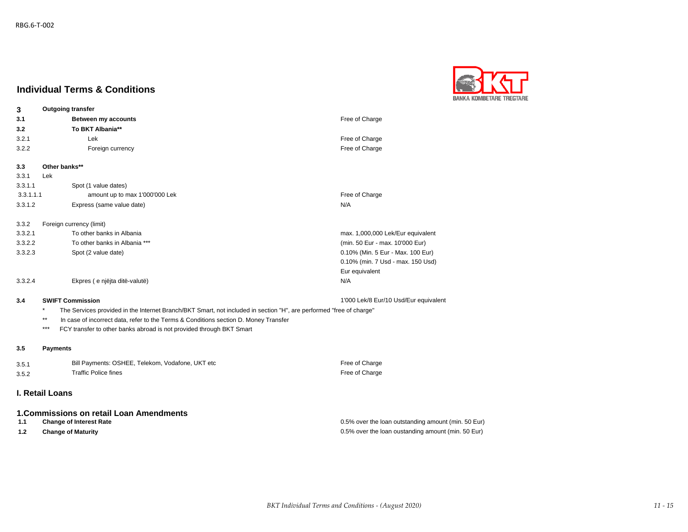

| 3         | <b>Outgoing transfer</b>                                                                                                       |                                                     |
|-----------|--------------------------------------------------------------------------------------------------------------------------------|-----------------------------------------------------|
| 3.1       | Between my accounts                                                                                                            | Free of Charge                                      |
| 3.2       | To BKT Albania**                                                                                                               |                                                     |
| 3.2.1     | Lek                                                                                                                            | Free of Charge                                      |
| 3.2.2     | Foreign currency                                                                                                               | Free of Charge                                      |
| 3.3       | Other banks**                                                                                                                  |                                                     |
| 3.3.1     | Lek                                                                                                                            |                                                     |
| 3.3.1.1   | Spot (1 value dates)                                                                                                           |                                                     |
| 3.3.1.1.1 | amount up to max 1'000'000 Lek                                                                                                 | Free of Charge                                      |
| 3.3.1.2   | Express (same value date)                                                                                                      | N/A                                                 |
| 3.3.2     | Foreign currency (limit)                                                                                                       |                                                     |
| 3.3.2.1   | To other banks in Albania                                                                                                      | max. 1,000,000 Lek/Eur equivalent                   |
| 3.3.2.2   | To other banks in Albania ***                                                                                                  | (min. 50 Eur - max. 10'000 Eur)                     |
| 3.3.2.3   | Spot (2 value date)                                                                                                            | 0.10% (Min. 5 Eur - Max. 100 Eur)                   |
|           |                                                                                                                                | 0.10% (min. 7 Usd - max. 150 Usd)                   |
|           |                                                                                                                                | Eur equivalent                                      |
| 3.3.2.4   | Ekpres (e njëjta ditë-valutë)                                                                                                  | N/A                                                 |
| 3.4       | <b>SWIFT Commission</b>                                                                                                        | 1'000 Lek/8 Eur/10 Usd/Eur equivalent               |
|           | $\star$<br>The Services provided in the Internet Branch/BKT Smart, not included in section "H", are performed "free of charge" |                                                     |
|           | $***$<br>In case of incorrect data, refer to the Terms & Conditions section D. Money Transfer                                  |                                                     |
|           | ***<br>FCY transfer to other banks abroad is not provided through BKT Smart                                                    |                                                     |
| 3.5       | <b>Payments</b>                                                                                                                |                                                     |
| 3.5.1     | Bill Payments: OSHEE, Telekom, Vodafone, UKT etc                                                                               | Free of Charge                                      |
| 3.5.2     | <b>Traffic Police fines</b>                                                                                                    | Free of Charge                                      |
|           |                                                                                                                                |                                                     |
|           | <b>I. Retail Loans</b>                                                                                                         |                                                     |
|           | 1. Commissions on retail Loan Amendments                                                                                       |                                                     |
| 1.1       | <b>Change of Interest Rate</b>                                                                                                 | 0.5% over the loan outstanding amount (min. 50 Eur) |
| 1.2       | <b>Change of Maturity</b>                                                                                                      | 0.5% over the loan oustanding amount (min. 50 Eur)  |
|           |                                                                                                                                |                                                     |
|           |                                                                                                                                |                                                     |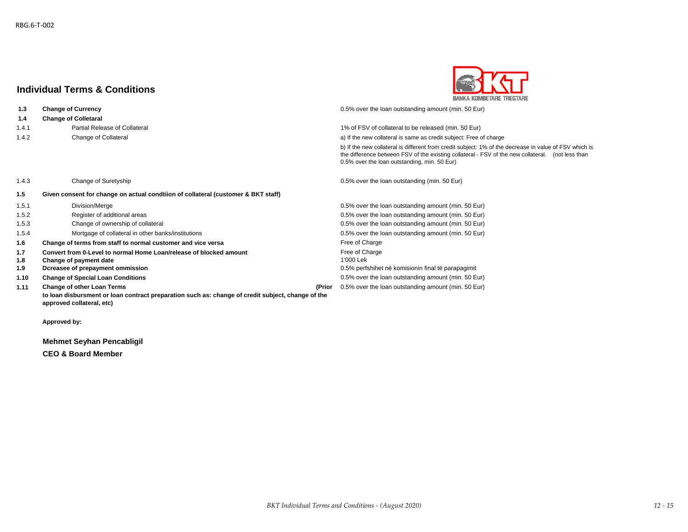**1.4 Change of Colletaral**



 **1.3 Change of Currency** 0.5% over the loan outstanding amount (min. 50 Eur)

1.4.1 Partial Release of Collateral 1 and 1% of FSV of collateral to be released (min. 50 Eur)

1.4.2 Change of Collateral and the new collateral is same as credit subject: Free of charge

b) If the new collateral is different from credit subject: 1% of the decrease in value of FSV which is the difference between FSV of the existing collateral - FSV of the new collateral. (not less than 0.5% over the loan outstanding, min. 50 Eur)

1.4.3 Change of Suretyship 0.5% over the loan outstanding (min. 50 Eur)

| 1.5   | Given consent for change on actual condtiion of collateral (customer & BKT staff)                                              |        |                                                     |
|-------|--------------------------------------------------------------------------------------------------------------------------------|--------|-----------------------------------------------------|
| 1.5.1 | Division/Merge                                                                                                                 |        | 0.5% over the loan outstanding amount (min. 50 Eur) |
| 1.5.2 | Register of additional areas                                                                                                   |        | 0.5% over the loan outstanding amount (min. 50 Eur) |
| 1.5.3 | Change of ownership of collateral                                                                                              |        | 0.5% over the loan outstanding amount (min. 50 Eur) |
| 1.5.4 | Mortgage of collateral in other banks/institutions                                                                             |        | 0.5% over the loan outstanding amount (min. 50 Eur) |
| 1.6   | Change of terms from staff to normal customer and vice versa                                                                   |        | Free of Charge                                      |
| 1.7   | Convert from 0-Level to normal Home Loan/release of blocked amount                                                             |        | Free of Charge                                      |
| 1.8   | Change of payment date                                                                                                         |        | 1'000 Lek                                           |
| 1.9   | Dcreasee of prepayment ommission                                                                                               |        | 0.5% perfshihet në komisionin final të parapagimit  |
| 1.10  | <b>Change of Special Loan Conditions</b>                                                                                       |        | 0.5% over the loan outstanding amount (min. 50 Eur) |
| 1.11  | <b>Change of other Loan Terms</b>                                                                                              | (Prior | 0.5% over the loan outstanding amount (min. 50 Eur) |
|       | to loan disbursment or loan contract preparation such as: change of credit subject, change of the<br>approved collateral, etc) |        |                                                     |

**Approved by:**

**Mehmet Seyhan Pencabligil**

**CEO & Board Member**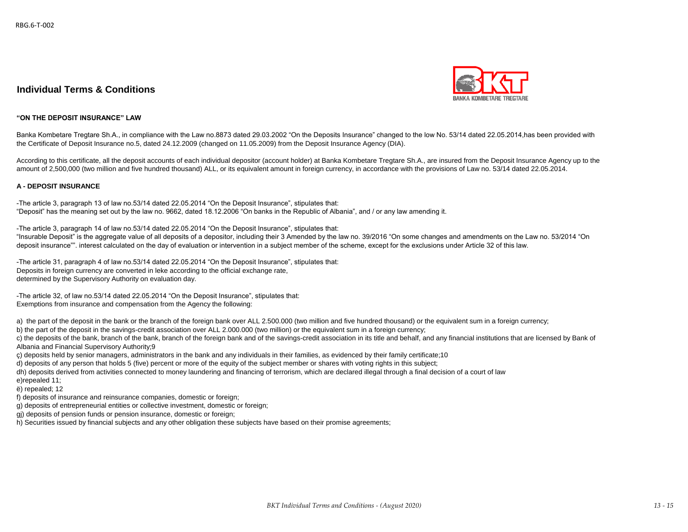

#### **"ON THE DEPOSIT INSURANCE" LAW**

Banka Kombetare Tregtare Sh.A., in compliance with the Law no.8873 dated 29.03.2002 "On the Deposits Insurance" changed to the low No. 53/14 dated 22.05.2014,has been provided with the Certificate of Deposit Insurance no.5, dated 24.12.2009 (changed on 11.05.2009) from the Deposit Insurance Agency (DIA).

According to this certificate, all the deposit accounts of each individual depositor (account holder) at Banka Kombetare Tregtare Sh.A., are insured from the Deposit Insurance Agency up to the amount of 2,500,000 (two million and five hundred thousand) ALL, or its equivalent amount in foreign currency, in accordance with the provisions of Law no. 53/14 dated 22.05.2014.

#### **A - DEPOSIT INSURANCE**

-The article 3, paragraph 13 of law no.53/14 dated 22.05.2014 "On the Deposit Insurance", stipulates that: "Deposit" has the meaning set out by the law no. 9662, dated 18.12.2006 "On banks in the Republic of Albania", and / or any law amending it.

-The article 3, paragraph 14 of law no.53/14 dated 22.05.2014 "On the Deposit Insurance", stipulates that: "Insurable Deposit" is the aggregate value of all deposits of a depositor, including their 3 Amended by the law no. 39/2016 "On some changes and amendments on the Law no. 53/2014 "On deposit insurance"". interest calculated on the day of evaluation or intervention in a subject member of the scheme, except for the exclusions under Article 32 of this law.

-The article 31, paragraph 4 of law no.53/14 dated 22.05.2014 "On the Deposit Insurance", stipulates that: Deposits in foreign currency are converted in leke according to the official exchange rate, determined by the Supervisory Authority on evaluation day.

-The article 32, of law no.53/14 dated 22.05.2014 "On the Deposit Insurance", stipulates that: Exemptions from insurance and compensation from the Agency the following:

a) the part of the deposit in the bank or the branch of the foreign bank over ALL 2.500.000 (two million and five hundred thousand) or the equivalent sum in a foreign currency;

b) the part of the deposit in the savings-credit association over ALL 2.000.000 (two million) or the equivalent sum in a foreign currency;

c) the deposits of the bank, branch of the bank, branch of the foreign bank and of the savings-credit association in its title and behalf, and any financial institutions that are licensed by Bank of Albania and Financial Supervisory Authority;9

ç) deposits held by senior managers, administrators in the bank and any individuals in their families, as evidenced by their family certificate;10

d) deposits of any person that holds 5 (five) percent or more of the equity of the subject member or shares with voting rights in this subject;

dh) deposits derived from activities connected to money laundering and financing of terrorism, which are declared illegal through a final decision of a court of law

e)repealed 11; ë) repealed; 12

f) deposits of insurance and reinsurance companies, domestic or foreign;

g) deposits of entrepreneurial entities or collective investment, domestic or foreign;

gj) deposits of pension funds or pension insurance, domestic or foreign;

h) Securities issued by financial subjects and any other obligation these subjects have based on their promise agreements;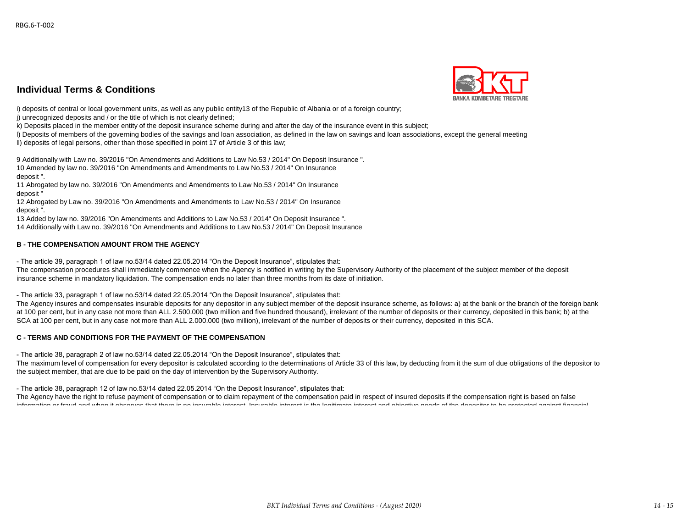#### **Individual Terms & Conditions**  $m$  securities is the subject subsects and any other obligation the subsects have based on the intervals  $m$



i) deposits of central or local government units, as well as any public entity13 of the Republic of Albania or of a foreign country;

i) unrecognized deposits and / or the title of which is not clearly defined:

k) Deposits placed in the member entity of the deposit insurance scheme during and after the day of the insurance event in this subject;

l) Deposits of members of the governing bodies of the savings and loan association, as defined in the law on savings and loan associations, except the general meeting

ll) deposits of legal persons, other than those specified in point 17 of Article 3 of this law;

9 Additionally with Law no. 39/2016 "On Amendments and Additions to Law No.53 / 2014" On Deposit Insurance ". 10 Amended by law no. 39/2016 "On Amendments and Amendments to Law No.53 / 2014" On Insurance deposit ".

11 Abrogated by law no. 39/2016 "On Amendments and Amendments to Law No.53 / 2014" On Insurance deposit "

12 Abrogated by Law no. 39/2016 "On Amendments and Amendments to Law No.53 / 2014" On Insurance deposit ".

13 Added by law no. 39/2016 "On Amendments and Additions to Law No.53 / 2014" On Deposit Insurance ".

14 Additionally with Law no. 39/2016 "On Amendments and Additions to Law No.53 / 2014" On Deposit Insurance

### **B - THE COMPENSATION AMOUNT FROM THE AGENCY**

- The article 39, paragraph 1 of law no.53/14 dated 22.05.2014 "On the Deposit Insurance", stipulates that:

The compensation procedures shall immediately commence when the Agency is notified in writing by the Supervisory Authority of the placement of the subject member of the deposit insurance scheme in mandatory liquidation. The compensation ends no later than three months from its date of initiation.

- The article 33, paragraph 1 of law no.53/14 dated 22.05.2014 "On the Deposit Insurance", stipulates that:

The Agency insures and compensates insurable deposits for any depositor in any subject member of the deposit insurance scheme, as follows: a) at the bank or the branch of the foreign bank at 100 per cent, but in any case not more than ALL 2.500.000 (two million and five hundred thousand), irrelevant of the number of deposits or their currency, deposited in this bank; b) at the SCA at 100 per cent, but in any case not more than ALL 2.000.000 (two million), irrelevant of the number of deposits or their currency, deposited in this SCA.

### **C - TERMS AND CONDITIONS FOR THE PAYMENT OF THE COMPENSATION**

- The article 38, paragraph 2 of law no.53/14 dated 22.05.2014 "On the Deposit Insurance", stipulates that:

The maximum level of compensation for every depositor is calculated according to the determinations of Article 33 of this law, by deducting from it the sum of due obligations of the depositor to the subject member, that are due to be paid on the day of intervention by the Supervisory Authority.

- The article 38, paragraph 12 of law no.53/14 dated 22.05.2014 "On the Deposit Insurance", stipulates that:

The Agency have the right to refuse payment of compensation or to claim repayment of the compensation paid in respect of insured deposits if the compensation right is based on false information or fraud and when it observes that there is no insurable interest. Insurable interest is the legitimate interest and objective needs of the depositor to be protected against financial